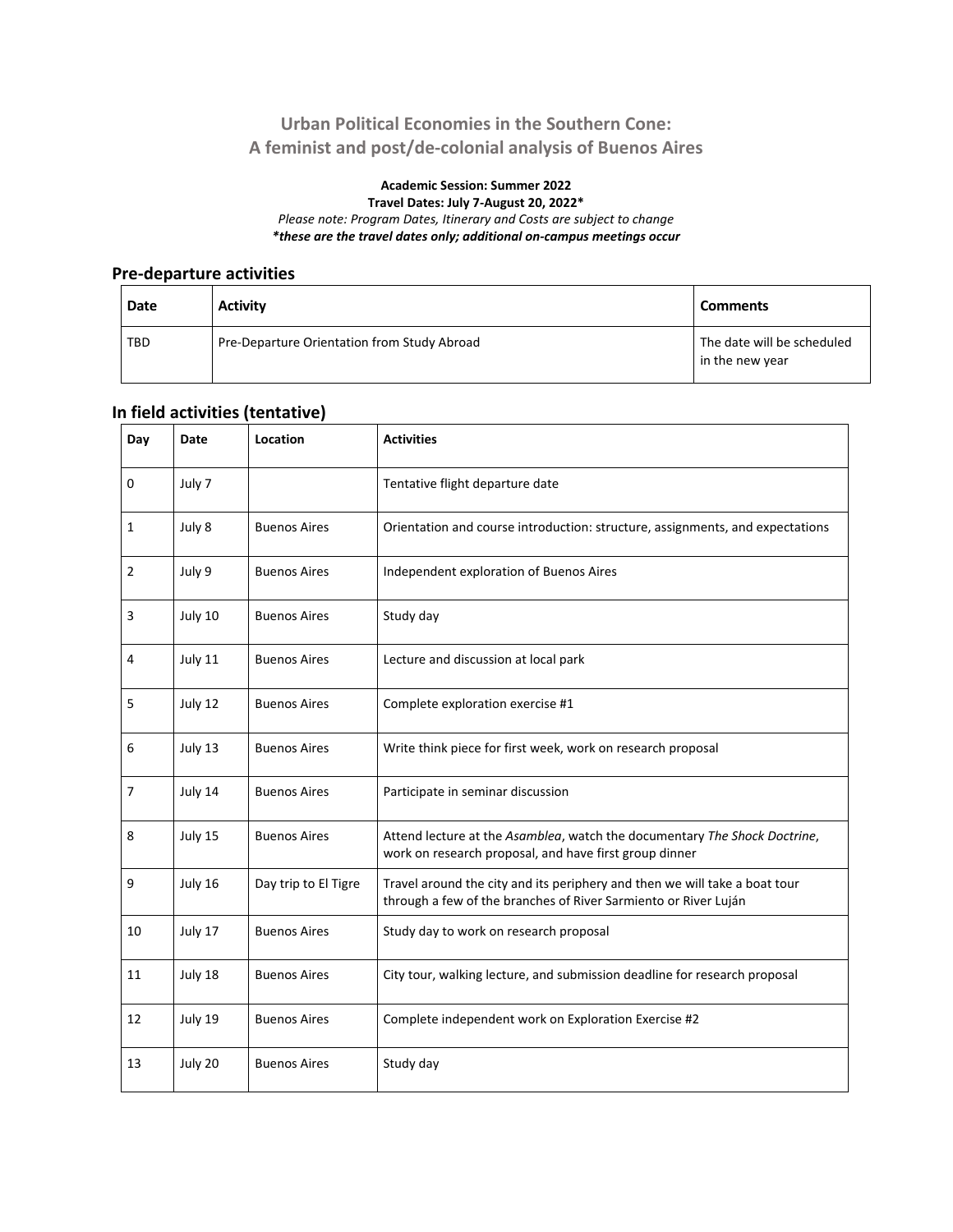## **Urban Political Economies in the Southern Cone: A feminist and post/de-colonial analysis of Buenos Aires**

#### **Academic Session: Summer 2022 Travel Dates: July 7-August 20, 2022\*** *Please note: Program Dates, Itinerary and Costs are subject to change*

*\*these are the travel dates only; additional on-campus meetings occur*

### **Pre-departure activities**

| Date       | <b>Activity</b>                             | <b>Comments</b>                               |
|------------|---------------------------------------------|-----------------------------------------------|
| <b>TBD</b> | Pre-Departure Orientation from Study Abroad | The date will be scheduled<br>in the new year |

## **In field activities (tentative)**

| Day | Date    | Location             | <b>Activities</b>                                                                                                                             |
|-----|---------|----------------------|-----------------------------------------------------------------------------------------------------------------------------------------------|
| 0   | July 7  |                      | Tentative flight departure date                                                                                                               |
| 1   | July 8  | <b>Buenos Aires</b>  | Orientation and course introduction: structure, assignments, and expectations                                                                 |
| 2   | July 9  | <b>Buenos Aires</b>  | Independent exploration of Buenos Aires                                                                                                       |
| 3   | July 10 | <b>Buenos Aires</b>  | Study day                                                                                                                                     |
| 4   | July 11 | <b>Buenos Aires</b>  | Lecture and discussion at local park                                                                                                          |
| 5   | July 12 | <b>Buenos Aires</b>  | Complete exploration exercise #1                                                                                                              |
| 6   | July 13 | <b>Buenos Aires</b>  | Write think piece for first week, work on research proposal                                                                                   |
| 7   | July 14 | <b>Buenos Aires</b>  | Participate in seminar discussion                                                                                                             |
| 8   | July 15 | <b>Buenos Aires</b>  | Attend lecture at the Asamblea, watch the documentary The Shock Doctrine,<br>work on research proposal, and have first group dinner           |
| 9   | July 16 | Day trip to El Tigre | Travel around the city and its periphery and then we will take a boat tour<br>through a few of the branches of River Sarmiento or River Luján |
| 10  | July 17 | <b>Buenos Aires</b>  | Study day to work on research proposal                                                                                                        |
| 11  | July 18 | <b>Buenos Aires</b>  | City tour, walking lecture, and submission deadline for research proposal                                                                     |
| 12  | July 19 | <b>Buenos Aires</b>  | Complete independent work on Exploration Exercise #2                                                                                          |
| 13  | July 20 | <b>Buenos Aires</b>  | Study day                                                                                                                                     |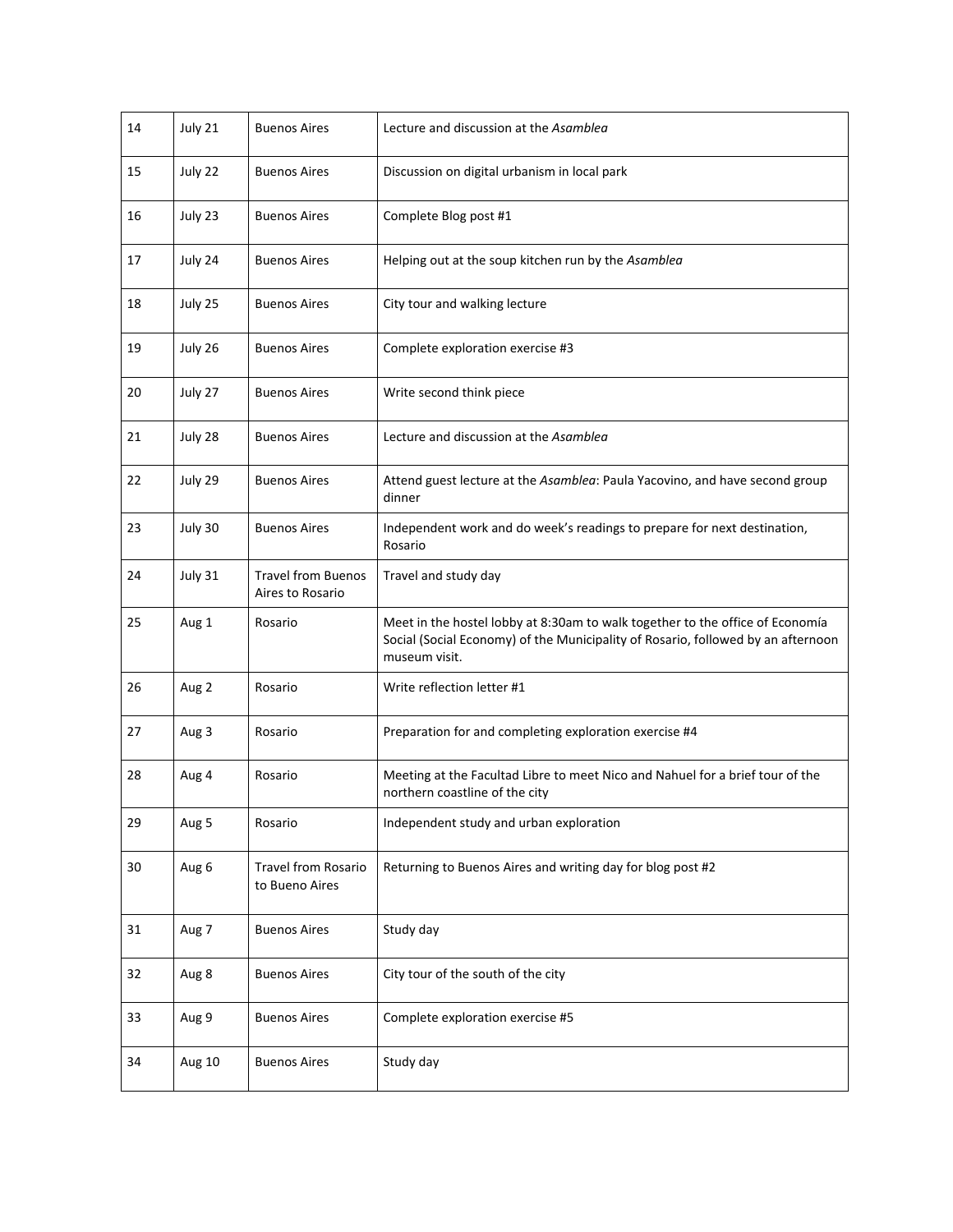| 14 | July 21 | <b>Buenos Aires</b>                           | Lecture and discussion at the Asamblea                                                                                                                                             |
|----|---------|-----------------------------------------------|------------------------------------------------------------------------------------------------------------------------------------------------------------------------------------|
| 15 | July 22 | <b>Buenos Aires</b>                           | Discussion on digital urbanism in local park                                                                                                                                       |
| 16 | July 23 | <b>Buenos Aires</b>                           | Complete Blog post #1                                                                                                                                                              |
| 17 | July 24 | <b>Buenos Aires</b>                           | Helping out at the soup kitchen run by the Asamblea                                                                                                                                |
| 18 | July 25 | <b>Buenos Aires</b>                           | City tour and walking lecture                                                                                                                                                      |
| 19 | July 26 | <b>Buenos Aires</b>                           | Complete exploration exercise #3                                                                                                                                                   |
| 20 | July 27 | <b>Buenos Aires</b>                           | Write second think piece                                                                                                                                                           |
| 21 | July 28 | <b>Buenos Aires</b>                           | Lecture and discussion at the Asamblea                                                                                                                                             |
| 22 | July 29 | <b>Buenos Aires</b>                           | Attend guest lecture at the Asamblea: Paula Yacovino, and have second group<br>dinner                                                                                              |
| 23 | July 30 | <b>Buenos Aires</b>                           | Independent work and do week's readings to prepare for next destination,<br>Rosario                                                                                                |
| 24 | July 31 | <b>Travel from Buenos</b><br>Aires to Rosario | Travel and study day                                                                                                                                                               |
| 25 | Aug 1   | Rosario                                       | Meet in the hostel lobby at 8:30am to walk together to the office of Economía<br>Social (Social Economy) of the Municipality of Rosario, followed by an afternoon<br>museum visit. |
| 26 | Aug 2   | Rosario                                       | Write reflection letter #1                                                                                                                                                         |
| 27 | Aug 3   | Rosario                                       | Preparation for and completing exploration exercise #4                                                                                                                             |
| 28 | Aug 4   | Rosario                                       | Meeting at the Facultad Libre to meet Nico and Nahuel for a brief tour of the<br>northern coastline of the city                                                                    |
| 29 | Aug 5   | Rosario                                       | Independent study and urban exploration                                                                                                                                            |
| 30 | Aug 6   | <b>Travel from Rosario</b><br>to Bueno Aires  | Returning to Buenos Aires and writing day for blog post #2                                                                                                                         |
| 31 | Aug 7   | <b>Buenos Aires</b>                           | Study day                                                                                                                                                                          |
| 32 | Aug 8   | <b>Buenos Aires</b>                           | City tour of the south of the city                                                                                                                                                 |
| 33 | Aug 9   | <b>Buenos Aires</b>                           | Complete exploration exercise #5                                                                                                                                                   |
| 34 | Aug 10  | <b>Buenos Aires</b>                           | Study day                                                                                                                                                                          |